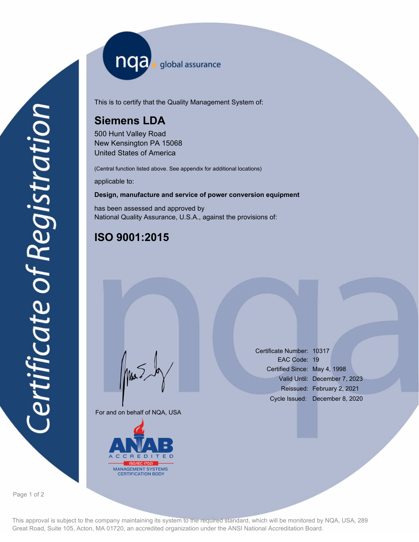nqa <sub>global assurance</sub>

This is to certify that the Quality Management System of:

# **Siemens LDA**

500 Hunt Valley Road New Kensington PA 15068 United States of America

(Central function listed above. See appendix for additional locations)

applicable to:

### **Design, manufacture and service of power conversion equipment**

has been assessed and approved by National Quality Assurance, U.S.A., against the provisions of:

# **ISO 9001:2015**

For and on behalf of NQA, USA

Mus



Certificate Number: 10317 EAC Code: 19 Certified Since: May 4, 1998 Valid Until: December 7, 2023 Reissued: February 2, 2021 Cycle Issued: December 8, 2020

Page 1 of 2

This approval is subject to the company maintaining its system to the required standard, which will be monitored by NQA, USA, 289 Great Road, Suite 105, Acton, MA 01720, an accredited organization under the ANSI National Accreditation Board.